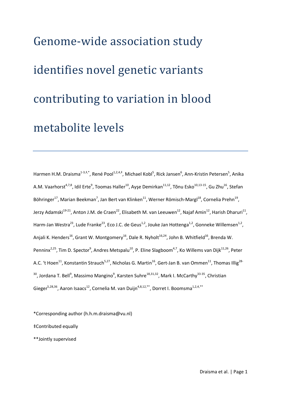# Genome-wide association study identifies novel genetic variants contributing to variation in blood metabolite levels

Harmen H.M. Draisma<sup>1-3,‡,\*</sup>, René Pool<sup>1,2,4,‡</sup>, Michael Kobl<sup>5</sup>, Rick Jansen<sup>6</sup>, Ann-Kristin Petersen<sup>5</sup>, Anika A.M. Vaarhorst<sup>4,7,8</sup>, Idil Erte<sup>9</sup>, Toomas Haller<sup>10</sup>, Ayşe Demirkan<sup>11,12</sup>, Tõnu Esko<sup>10,13-15</sup>, Gu Zhu<sup>16</sup>, Stefan Böhringer<sup>17</sup>, Marian Beekman<sup>7</sup>, Jan Bert van Klinken<sup>11</sup>, Werner Römisch-Margl<sup>18</sup>, Cornelia Prehn<sup>19</sup>, Jerzy Adamski<sup>19-21</sup>, Anton J.M. de Craen<sup>22</sup>, Elisabeth M. van Leeuwen<sup>12</sup>, Najaf Amin<sup>12</sup>, Harish Dharuri<sup>11</sup>, Harm-Jan Westra<sup>23</sup>, Lude Franke<sup>23</sup>, Eco J.C. de Geus<sup>1,2</sup>, Jouke Jan Hottenga<sup>1,2</sup>, Gonneke Willemsen<sup>1,2</sup>, Anjali K. Henders<sup>16</sup>, Grant W. Montgomery<sup>16</sup>, Dale R. Nyholt<sup>16,24</sup>, John B. Whitfield<sup>16</sup>, Brenda W. Penninx<sup>2,25</sup>, Tim D. Spector<sup>9</sup>, Andres Metspalu<sup>10</sup>, P. Eline Slagboom<sup>4,7</sup>, Ko Willems van Dijk<sup>11,26</sup>, Peter A.C. 't Hoen<sup>11</sup>, Konstantin Strauch<sup>5,27</sup>, Nicholas G. Martin<sup>16</sup>, Gert-Jan B. van Ommen<sup>11</sup>, Thomas Illig<sup>28-</sup> <sup>30</sup>, Jordana T. Bell<sup>9</sup>, Massimo Mangino<sup>9</sup>, Karsten Suhre<sup>18,31,32</sup>, Mark I. McCarthy<sup>33-35</sup>, Christian Gieger<sup>5,28,36</sup>, Aaron Isaacs<sup>12</sup>, Cornelia M. van Duijn<sup>4,8,12,\*\*</sup>, Dorret I. Boomsma<sup>1,2,4,\*\*</sup>

\*Corresponding author (h.h.m.draisma@vu.nl)

‡Contributed equally

\*\*Jointly supervised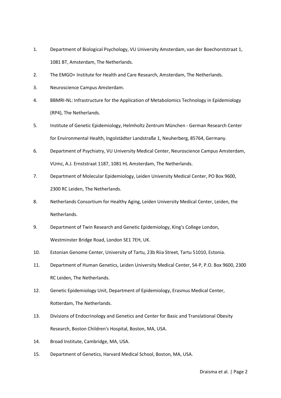- 1. Department of Biological Psychology, VU University Amsterdam, van der Boechorststraat 1, 1081 BT, Amsterdam, The Netherlands.
- 2. The EMGO+ Institute for Health and Care Research, Amsterdam, The Netherlands.
- 3. Neuroscience Campus Amsterdam.
- 4. BBMRI-NL: Infrastructure for the Application of Metabolomics Technology in Epidemiology (RP4), The Netherlands.
- 5. Institute of Genetic Epidemiology, Helmholtz Zentrum München German Research Center for Environmental Health, Ingolstädter Landstraße 1, Neuherberg, 85764, Germany.
- 6. Department of Psychiatry, VU University Medical Center, Neuroscience Campus Amsterdam, VUmc, A.J. Ernststraat 1187, 1081 HL Amsterdam, The Netherlands.
- 7. Department of Molecular Epidemiology, Leiden University Medical Center, PO Box 9600, 2300 RC Leiden, The Netherlands.
- 8. Netherlands Consortium for Healthy Aging, Leiden University Medical Center, Leiden, the Netherlands.
- 9. Department of Twin Research and Genetic Epidemiology, King's College London, Westminster Bridge Road, London SE1 7EH, UK.
- 10. Estonian Genome Center, University of Tartu, 23b Riia Street, Tartu 51010, Estonia.
- 11. Department of Human Genetics, Leiden University Medical Center, S4-P, P.O. Box 9600, 2300 RC Leiden, The Netherlands.
- 12. Genetic Epidemiology Unit, Department of Epidemiology, Erasmus Medical Center, Rotterdam, The Netherlands.
- 13. Divisions of Endocrinology and Genetics and Center for Basic and Translational Obesity Research, Boston Children's Hospital, Boston, MA, USA.
- 14. Broad Institute, Cambridge, MA, USA.
- 15. Department of Genetics, Harvard Medical School, Boston, MA, USA.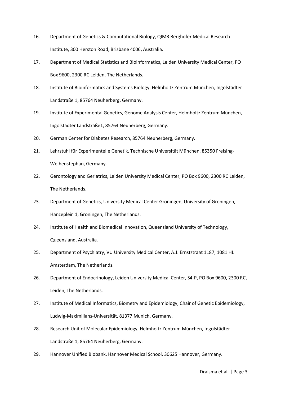- 16. Department of Genetics & Computational Biology, QIMR Berghofer Medical Research Institute, 300 Herston Road, Brisbane 4006, Australia.
- 17. Department of Medical Statistics and Bioinformatics, Leiden University Medical Center, PO Box 9600, 2300 RC Leiden, The Netherlands.
- 18. Institute of Bioinformatics and Systems Biology, Helmholtz Zentrum München, Ingolstädter Landstraße 1, 85764 Neuherberg, Germany.
- 19. Institute of Experimental Genetics, Genome Analysis Center, Helmholtz Zentrum München, Ingolstädter Landstraße1, 85764 Neuherberg, Germany.
- 20. German Center for Diabetes Research, 85764 Neuherberg, Germany.
- 21. Lehrstuhl für Experimentelle Genetik, Technische Universität München, 85350 Freising-Weihenstephan, Germany.
- 22. Gerontology and Geriatrics, Leiden University Medical Center, PO Box 9600, 2300 RC Leiden, The Netherlands.
- 23. Department of Genetics, University Medical Center Groningen, University of Groningen, Hanzeplein 1, Groningen, The Netherlands.
- 24. Institute of Health and Biomedical Innovation, Queensland University of Technology, Queensland, Australia.
- 25. Department of Psychiatry, VU University Medical Center, A.J. Ernststraat 1187, 1081 HL Amsterdam, The Netherlands.
- 26. Department of Endocrinology, Leiden University Medical Center, S4-P, PO Box 9600, 2300 RC, Leiden, The Netherlands.
- 27. Institute of Medical Informatics, Biometry and Epidemiology, Chair of Genetic Epidemiology, Ludwig-Maximilians-Universität, 81377 Munich, Germany.
- 28. Research Unit of Molecular Epidemiology, Helmholtz Zentrum München, Ingolstädter Landstraße 1, 85764 Neuherberg, Germany.
- 29. Hannover Unified Biobank, Hannover Medical School, 30625 Hannover, Germany.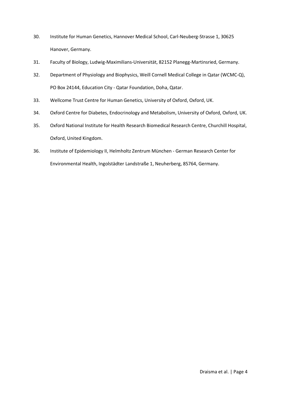- 30. Institute for Human Genetics, Hannover Medical School, Carl-Neuberg-Strasse 1, 30625 Hanover, Germany.
- 31. Faculty of Biology, Ludwig-Maximilians-Universität, 82152 Planegg-Martinsried, Germany.
- 32. Department of Physiology and Biophysics, Weill Cornell Medical College in Qatar (WCMC-Q), PO Box 24144, Education City - Qatar Foundation, Doha, Qatar.
- 33. Wellcome Trust Centre for Human Genetics, University of Oxford, Oxford, UK.
- 34. Oxford Centre for Diabetes, Endocrinology and Metabolism, University of Oxford, Oxford, UK.
- 35. Oxford National Institute for Health Research Biomedical Research Centre, Churchill Hospital, Oxford, United Kingdom.
- 36. Institute of Epidemiology II, Helmholtz Zentrum München German Research Center for Environmental Health, Ingolstädter Landstraße 1, Neuherberg, 85764, Germany.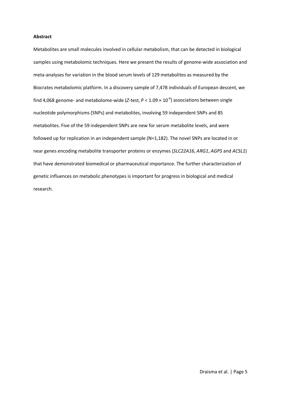#### **Abstract**

Metabolites are small molecules involved in cellular metabolism, that can be detected in biological samples using metabolomic techniques. Here we present the results of genome-wide association and meta-analyses for variation in the blood serum levels of 129 metabolites as measured by the Biocrates metabolomic platform. In a discovery sample of 7,478 individuals of European descent, we find 4,068 genome- and metabolome-wide (*Z*-test, P < 1.09 × 10-9 ) associations between single nucleotide polymorphisms (SNPs) and metabolites, involving 59 independent SNPs and 85 metabolites. Five of the 59 independent SNPs are new for serum metabolite levels, and were followed up for replication in an independent sample (N=1,182). The novel SNPs are located in or near genes encoding metabolite transporter proteins or enzymes (*SLC22A16*, *ARG1*, *AGPS* and *ACSL1*) that have demonstrated biomedical or pharmaceutical importance. The further characterization of genetic influences on metabolic phenotypes is important for progress in biological and medical research.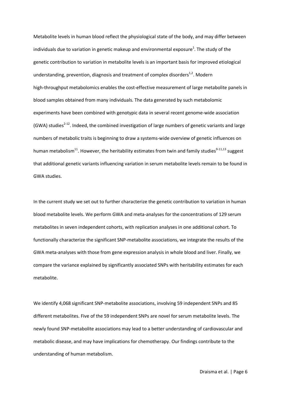Metabolite levels in human blood reflect the physiological state of the body, and may differ between individuals due to variation in genetic makeup and environmental exposure<sup>1</sup>. The study of the genetic contribution to variation in metabolite levels is an important basis for improved etiological understanding, prevention, diagnosis and treatment of complex disorders<sup>1,2</sup>. Modern high-throughput metabolomics enables the cost-effective measurement of large metabolite panels in blood samples obtained from many individuals. The data generated by such metabolomic experiments have been combined with genotypic data in several recent genome-wide association (GWA) studies<sup>2-12</sup>. Indeed, the combined investigation of large numbers of genetic variants and large numbers of metabolic traits is beginning to draw a systems-wide overview of genetic influences on human metabolism<sup>11</sup>. However, the heritability estimates from twin and family studies<sup>9-11,13</sup> suggest that additional genetic variants influencing variation in serum metabolite levels remain to be found in GWA studies.

In the current study we set out to further characterize the genetic contribution to variation in human blood metabolite levels. We perform GWA and meta-analyses for the concentrations of 129 serum metabolites in seven independent cohorts, with replication analyses in one additional cohort. To functionally characterize the significant SNP-metabolite associations, we integrate the results of the GWA meta-analyses with those from gene expression analysisin whole blood and liver. Finally, we compare the variance explained by significantly associated SNPs with heritability estimates for each metabolite.

We identify 4,068 significant SNP-metabolite associations, involving 59 independent SNPs and 85 different metabolites. Five of the 59 independent SNPs are novel for serum metabolite levels. The newly found SNP-metabolite associations may lead to a better understanding of cardiovascular and metabolic disease, and may have implications for chemotherapy. Our findings contribute to the understanding of human metabolism.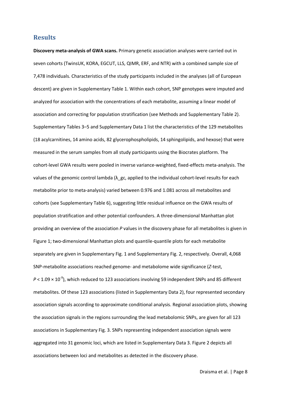## **Results**

**Discovery meta-analysis of GWA scans.** Primary genetic association analyses were carried out in seven cohorts (TwinsUK, KORA, EGCUT, LLS, QIMR, ERF, and NTR) with a combined sample size of 7,478 individuals. Characteristics of the study participants included in the analyses (all of European descent) are given in Supplementary Table 1. Within each cohort, SNP genotypes were imputed and analyzed for association with the concentrations of each metabolite, assuming a linear model of association and correcting for population stratification (see Methods and Supplementary Table 2). Supplementary Tables 3–5 and Supplementary Data 1 list the characteristics of the 129 metabolites (18 acylcarnitines, 14 amino acids, 82 glycerophospholipids, 14 sphingolipids, and hexose) that were measured in the serum samples from all study participants using the Biocrates platform. The cohort-level GWA results were pooled in inverse variance-weighted, fixed-effects meta-analysis. The values of the genomic control lambda ( $\lambda$ \_gc, applied to the individual cohort-level results for each metabolite prior to meta-analysis) varied between 0.976 and 1.081 across all metabolites and cohorts (see Supplementary Table 6), suggesting little residual influence on the GWA results of population stratification and other potential confounders. A three-dimensional Manhattan plot providing an overview of the association *P* values in the discovery phase for all metabolites is given in Figure 1; two-dimensional Manhattan plots and quantile-quantile plots for each metabolite separately are given in Supplementary Fig. 1 and Supplementary Fig. 2, respectively. Overall, 4,068 SNP-metabolite associations reached genome- and metabolome wide significance (*Z*-test,  $P$  < 1.09  $\times$  10<sup>-9</sup>), which reduced to 123 associations involving 59 independent SNPs and 85 different metabolites. Of these 123 associations (listed in Supplementary Data 2), four represented secondary association signals according to approximate conditional analysis. Regional association plots, showing the association signals in the regions surrounding the lead metabolomic SNPs, are given for all 123 associations in Supplementary Fig. 3. SNPs representing independent association signals were aggregated into 31 genomic loci, which are listed in Supplementary Data 3. Figure 2 depicts all associations between loci and metabolites as detected in the discovery phase.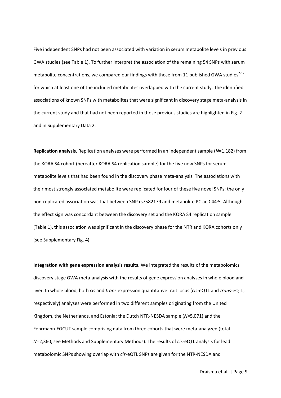Five independent SNPs had not been associated with variation in serum metabolite levels in previous GWA studies (see Table 1). To further interpret the association of the remaining 54 SNPs with serum metabolite concentrations, we compared our findings with those from 11 published GWA studies<sup>2-12</sup> for which at least one of the included metabolites overlapped with the current study. The identified associations of known SNPs with metabolites that were significant in discovery stage meta-analysis in the current study and that had not been reported in those previous studies are highlighted in Fig. 2 and in Supplementary Data 2.

**Replication analysis.** Replication analyses were performed in an independent sample (*N*=1,182) from the KORA S4 cohort (hereafter KORA S4 replication sample) for the five new SNPs for serum metabolite levels that had been found in the discovery phase meta-analysis. The associations with their most strongly associated metabolite were replicated for four of these five novel SNPs; the only non-replicated association was that between SNP rs7582179 and metabolite PC ae C44:5. Although the effect sign was concordant between the discovery set and the KORA S4 replication sample (Table 1), this association was significant in the discovery phase for the NTR and KORA cohorts only (see Supplementary Fig. 4).

**Integration with gene expression analysis results.** We integrated the results of the metabolomics discovery stage GWA meta-analysis with the results of gene expression analyses in whole blood and liver. In whole blood, both *cis* and *trans* expression quantitative trait locus (*cis-*eQTL and *trans*-eQTL, respectively) analyses were performed in two different samples originating from the United Kingdom, the Netherlands, and Estonia: the Dutch NTR-NESDA sample (*N*=5,071) and the Fehrmann-EGCUT sample comprising data from three cohorts that were meta-analyzed (total *N*=2,360; see Methods and Supplementary Methods). The results of *cis*-eQTL analysis for lead metabolomic SNPs showing overlap with *cis*-eQTL SNPs are given for the NTR-NESDA and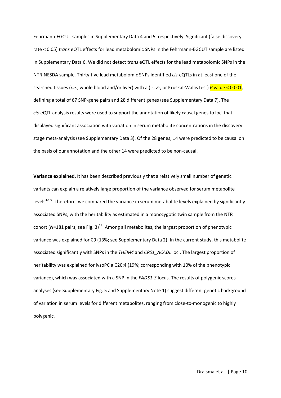Fehrmann-EGCUT samples in Supplementary Data 4 and 5, respectively. Significant (false discovery rate < 0.05) *trans* eQTL effects for lead metabolomic SNPs in the Fehrmann-EGCUT sample are listed in Supplementary Data 6. We did not detect *trans* eQTL effects for the lead metabolomic SNPs in the NTR-NESDA sample. Thirty-five lead metabolomic SNPs identified *cis*-eQTLs in at least one of the searched tissues (*i.e.*, whole blood and/or liver) with a (t-, *Z*-, or Kruskal-Wallis test) *P* value < 0.001, defining a total of 67 SNP-gene pairs and 28 different genes (see Supplementary Data 7). The *cis*-eQTL analysis results were used to support the annotation of likely causal genes to loci that displayed significant association with variation in serum metabolite concentrations in the discovery stage meta-analysis (see Supplementary Data 3). Of the 28 genes, 14 were predicted to be causal on the basis of our annotation and the other 14 were predicted to be non-causal.

**Variance explained.** It has been described previously that a relatively small number of genetic variants can explain a relatively large proportion of the variance observed for serum metabolite levels<sup>4,5,9</sup>. Therefore, we compared the variance in serum metabolite levels explained by significantly associated SNPs, with the heritability as estimated in a monozygotic twin sample from the NTR cohort (*N*=181 pairs; see Fig. 3) 13. Among all metabolites, the largest proportion of phenotypic variance was explained for C9 (13%; see Supplementary Data 2). In the current study, this metabolite associated significantly with SNPs in the *THEM4* and *CPS1\_ACADL* loci. The largest proportion of heritability was explained for lysoPC a C20:4 (19%; corresponding with 10% of the phenotypic variance), which was associated with a SNP in the *FADS1-3* locus. The results of polygenic scores analyses (see Supplementary Fig. 5 and Supplementary Note 1) suggest different genetic background of variation in serum levels for different metabolites, ranging from close-to-monogenic to highly polygenic.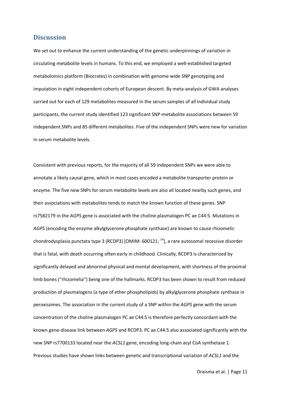#### **Discussion**

We set out to enhance the current understanding of the genetic underpinnings of variation in circulating metabolite levels in humans. To this end, we employed a well-established targeted metabolomics platform (Biocrates) in combination with genome-wide SNP genotyping and imputation in eight independent cohorts of European descent. By meta-analysis of GWA analyses carried out for each of 129 metabolites measured in the serum samples of all individual study participants, the current study identified 123 significant SNP-metabolite associations between 59 independent SNPs and 85 different metabolites. Five of the independent SNPs were new for variation in serum metabolite levels.

Consistent with previous reports, for the majority of all 59 independent SNPs we were able to annotate a likely causal gene, which in most cases encoded a metabolite transporter protein or enzyme. The five new SNPs for serum metabolite levels are also all located nearby such genes, and their associations with metabolites tends to match the known function of these genes. SNP rs7582179 in the *AGPS* gene is associated with the choline plasmalogen PC ae C44:5. Mutations in *AGPS* (encoding the enzyme alkylglycerone phosphate synthase) are known to cause rhizomelic chondrodysplasia punctata type 3 (RCDP3) [OMIM: 600121;  $^{14}$ ], a rare autosomal recessive disorder that is fatal, with death occurring often early in childhood. Clinically, RCDP3 is characterized by significantly delayed and abnormal physical and mental development, with shortness of the proximal limb bones ("rhizomelia") being one of the hallmarks. RCDP3 has been shown to result from reduced production of plasmalogens (a type of ether phospholipids) by alkylglycerone phosphate synthase in peroxisomes. The association in the current study of a SNP within the *AGPS* gene with the serum concentration of the choline plasmalogen PC ae C44:5 is therefore perfectly concordant with the known gene-disease link between *AGPS* and RCDP3. PC ae C44:5 also associated significantly with the new SNP rs7700133 located near the *ACSL1* gene, encoding long-chain acyl CoA synthetase 1. Previous studies have shown links between genetic and transcriptional variation of *ACSL1* and the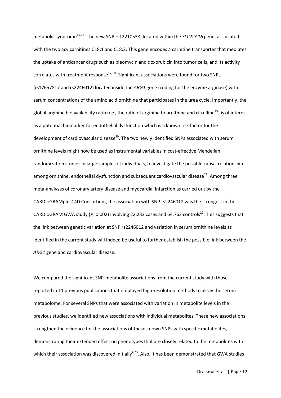metabolic syndrome<sup>15,16</sup>. The new SNP rs12210538, located within the *SLC22A16* gene, associated with the two acylcarnitines C18:1 and C18:2. This gene encodes a carnitine transporter that mediates the uptake of anticancer drugs such as bleomycin and doxorubicin into tumor cells, and its activity correlates with treatment response $17,18$ . Significant associations were found for two SNPs (rs17657817 and rs2246012) located inside the *ARG1* gene (coding for the enzyme arginase) with serum concentrations of the amino acid ornithine that participates in the urea cycle. Importantly, the global arginine bioavailability ratio (*i.e.*, the ratio of arginine to ornithine and citrulline<sup>19</sup>) is of interest as a potential biomarker for endothelial dysfunction which is a known risk factor for the development of cardiovascular disease<sup>20</sup>. The two newly identified SNPs associated with serum ornithine levels might now be used as instrumental variables in cost-effective Mendelian randomization studies in large samples of individuals, to investigate the possible causal relationship among ornithine, endothelial dysfunction and subsequent cardiovascular disease $^{21}$ . Among three meta-analyses of coronary artery disease and myocardial infarction as carried out by the CARDIoGRAMplusC4D Consortium, the association with SNP rs2246012 was the strongest in the CARDIoGRAM GWA study ( $P=0.002$ ) involving 22,233 cases and 64,762 controls<sup>22</sup>. This suggests that the link between genetic variation at SNP rs2246012 and variation in serum ornithine levels as identified in the current study will indeed be useful to further establish the possible link between the *ARG1* gene and cardiovascular disease.

We compared the significant SNP-metabolite associations from the current study with those reported in 11 previous publications that employed high-resolution methods to assay the serum metabolome. For several SNPs that were associated with variation in metabolite levels in the previous studies, we identified new associations with individual metabolites. These new associations strengthen the evidence for the associations of these known SNPs with specific metabolites, demonstrating their extended effect on phenotypes that are closely related to the metabolites with which their association was discovered initially<sup>4,23</sup>. Also, it has been demonstrated that GWA studies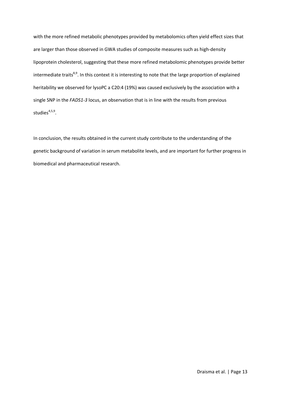with the more refined metabolic phenotypes provided by metabolomics often yield effect sizes that are larger than those observed in GWA studies of composite measures such as high-density lipoprotein cholesterol, suggesting that these more refined metabolomic phenotypes provide better intermediate traits<sup>8,9</sup>. In this context it is interesting to note that the large proportion of explained heritability we observed for lysoPC a C20:4 (19%) was caused exclusively by the association with a single SNP in the *FADS1-3* locus, an observation that is in line with the results from previous studies<sup>4,5,9</sup>.

In conclusion, the results obtained in the current study contribute to the understanding of the genetic background of variation in serum metabolite levels, and are important for further progress in biomedical and pharmaceutical research.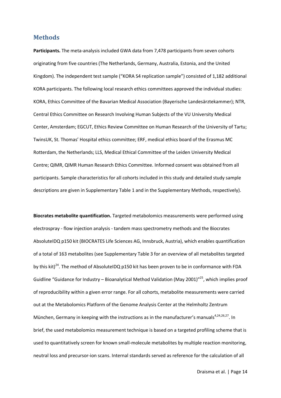#### **Methods**

**Participants.** The meta-analysis included GWA data from 7,478 participants from seven cohorts originating from five countries (The Netherlands, Germany, Australia, Estonia, and the United Kingdom). The independent test sample ("KORA S4 replication sample") consisted of 1,182 additional KORA participants. The following local research ethics committees approved the individual studies: KORA, Ethics Committee of the Bavarian Medical Association (Bayerische Landesärztekammer); NTR, Central Ethics Committee on Research Involving Human Subjects of the VU University Medical Center, Amsterdam; EGCUT, Ethics Review Committee on Human Research of the University of Tartu; TwinsUK, St. Thomas' Hospital ethics committee; ERF, medical ethics board of the Erasmus MC Rotterdam, the Netherlands; LLS, Medical Ethical Committee of the Leiden University Medical Centre; QIMR, QIMR Human Research Ethics Committee. Informed consent was obtained from all participants. Sample characteristics for all cohorts included in this study and detailed study sample descriptions are given in Supplementary Table 1 and in the Supplementary Methods, respectively).

**Biocrates metabolite quantification.** Targeted metabolomics measurements were performed using electrospray - flow injection analysis - tandem mass spectrometry methods and the Biocrates AbsoluteIDQ p150 kit (BIOCRATES Life Sciences AG, Innsbruck, Austria), which enables quantification of a total of 163 metabolites (see Supplementary Table 3 for an overview of all metabolites targeted by this kit)<sup>24</sup>. The method of AbsoluteIDQ p150 kit has been proven to be in conformance with FDA Guidline "Guidance for Industry – Bioanalytical Method Validation (May 2001)"<sup>25</sup>, which implies proof of reproducibility within a given error range. For all cohorts, metabolite measurements were carried out at the Metabolomics Platform of the Genome Analysis Center at the Helmholtz Zentrum München, Germany in keeping with the instructions as in the manufacturer's manuals<sup>4,24,26,27</sup>. In brief, the used metabolomics measurement technique is based on a targeted profiling scheme that is used to quantitatively screen for known small-molecule metabolites by multiple reaction monitoring, neutral loss and precursor-ion scans. Internal standards served as reference for the calculation of all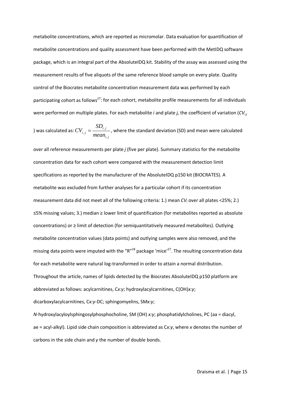metabolite concentrations, which are reported as micromolar. Data evaluation for quantification of metabolite concentrations and quality assessment have been performed with the MetIDQ software package, which is an integral part of the AbsoluteIDQ kit. Stability of the assay was assessed using the measurement results of five aliquots of the same reference blood sample on every plate. Quality control of the Biocrates metabolite concentration measurement data was performed by each participating cohort as follows<sup>27</sup>: for each cohort, metabolite profile measurements for all individuals were performed on multiple plates. For each metabolite *i* and plate *j,* the coefficient of variation (*CVi,j*

) was calculated as: 
$$
CV_{i,j} = \frac{SD_{i,j}}{mean_{i,j}}
$$
, where the standard deviation (SD) and mean were calculated

over all reference measurements per plate *j* (five per plate). Summary statistics for the metabolite concentration data for each cohort were compared with the measurement detection limit specifications as reported by the manufacturer of the AbsoluteIDQ p150 kit (BIOCRATES). A metabolite was excluded from further analyses for a particular cohort if its concentration measurement data did not meet all of the following criteria: 1.) mean *CVi* over all plates <25%; 2.) ≤5% missing values; 3.) median ≥ lower limit of quantification (for metabolites reported as absolute concentrations) or ≥ limit of detection (for semiquantitatively measured metabolites). Outlying metabolite concentration values (data points) and outlying samples were also removed, and the missing data points were imputed with the "R"<sup>28</sup> package 'mice'<sup>27</sup>. The resulting concentration data for each metabolite were natural log-transformed in order to attain a normal distribution. Throughout the article, names of lipids detected by the Biocrates AbsoluteIDQ p150 platform are abbreviated as follows: acylcarnitines, C*x:y*; hydroxylacylcarnitines, C(OH)*x:y*; dicarboxylacylcarnitines, C*x:y*-DC; sphingomyelins, SM*x:y*; *N*-hydroxylacyloylsphingosylphosphocholine, SM (OH) *x:y*; phosphatidylcholines, PC (aa = diacyl, ae = acyl-alkyl). Lipid side chain composition is abbreviated as C*x:y*, where *x* denotes the number of

carbons in the side chain and *y* the number of double bonds.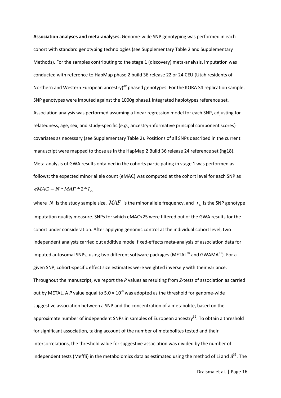**Association analyses and meta-analyses.** Genome-wide SNP genotyping was performed in each cohort with standard genotyping technologies (see Supplementary Table 2 and Supplementary Methods). For the samples contributing to the stage 1 (discovery) meta-analysis, imputation was conducted with reference to HapMap phase 2 build 36 release 22 or 24 CEU (Utah residents of Northern and Western European ancestry)<sup>29</sup> phased genotypes. For the KORA S4 replication sample, SNP genotypes were imputed against the 1000g phase1 integrated haplotypes reference set. Association analysis was performed assuming a linear regression model for each SNP, adjusting for relatedness, age, sex, and study-specific (*e.g.*, ancestry-informative principal component scores) covariates as necessary (see Supplementary Table 2). Positions of all SNPs described in the current manuscript were mapped to those as in the HapMap 2 Build 36 release 24 reference set (hg18). Meta-analysis of GWA results obtained in the cohorts participating in stage 1 was performed as follows: the expected minor allele count (eMAC) was computed at the cohort level for each SNP as  $eMAC = N * MAF * 2 * I$ 

where  $N$  is the study sample size,  $MAF$  is the minor allele frequency, and  $I_A$  is the SNP genotype imputation quality measure. SNPs for which eMAC<25 were filtered out of the GWA results for the cohort under consideration. After applying genomic control at the individual cohort level, two independent analysts carried out additive model fixed-effects meta-analysis of association data for imputed autosomal SNPs, using two different software packages (METAL $^{30}$  and GWAMA $^{31}$ ). For a given SNP, cohort-specific effect size estimates were weighted inversely with their variance. Throughout the manuscript, we report the *P* values as resulting from *Z*-tests of association as carried out by METAL. A P value equal to  $5.0 \times 10^{-8}$  was adopted as the threshold for genome-wide suggestive association between a SNP and the concentration of a metabolite, based on the approximate number of independent SNPs in samples of European ancestry<sup>32</sup>. To obtain a threshold for significant association, taking account of the number of metabolites tested and their intercorrelations, the threshold value for suggestive association was divided by the number of independent tests (Meffli) in the metabolomics data as estimated using the method of Li and Ji<sup>33</sup>. The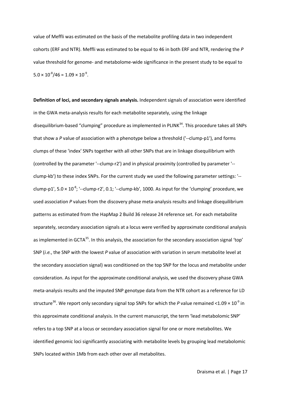value of Meffli was estimated on the basis of the metabolite profiling data in two independent cohorts (ERF and NTR). Meffli was estimated to be equal to 46 in both ERF and NTR, rendering the *P* value threshold for genome- and metabolome-wide significance in the present study to be equal to  $5.0 \times 10^{-8} / 46 = 1.09 \times 10^{-9}$ .

**Definition of loci, and secondary signals analysis.** Independent signals of association were identified in the GWA meta-analysis results for each metabolite separately, using the linkage disequilibrium-based "clumping" procedure as implemented in PLINK<sup>34</sup>. This procedure takes all SNPs that show a *P* value of association with a phenotype below a threshold ('--clump-p1'), and forms clumps of these 'index' SNPs together with all other SNPs that are in linkage disequilibrium with (controlled by the parameter '--clump-r2') and in physical proximity (controlled by parameter '- clump-kb') to these index SNPs. For the current study we used the following parameter settings: '- clump-p1',  $5.0 \times 10^{-8}$ ; '--clump-r2', 0.1; '--clump-kb', 1000. As input for the 'clumping' procedure, we used association *P* values from the discovery phase meta-analysis results and linkage disequilibrium patterns as estimated from the HapMap 2 Build 36 release 24 reference set. For each metabolite separately, secondary association signals at a locus were verified by approximate conditional analysis as implemented in GCTA<sup>35</sup>. In this analysis, the association for the secondary association signal 'top' SNP (*i.e.*, the SNP with the lowest *P* value of association with variation in serum metabolite level at the secondary association signal) was conditioned on the top SNP for the locus and metabolite under consideration. As input for the approximate conditional analysis, we used the discovery phase GWA meta-analysis results and the imputed SNP genotype data from the NTR cohort as a reference for LD structure<sup>36</sup>. We report only secondary signal top SNPs for which the *P* value remained <1.09  $\times$  10<sup>-9</sup> in this approximate conditional analysis. In the current manuscript, the term 'lead metabolomic SNP' refers to a top SNP at a locus or secondary association signal for one or more metabolites. We identified genomic loci significantly associating with metabolite levels by grouping lead metabolomic SNPs located within 1Mb from each other over all metabolites.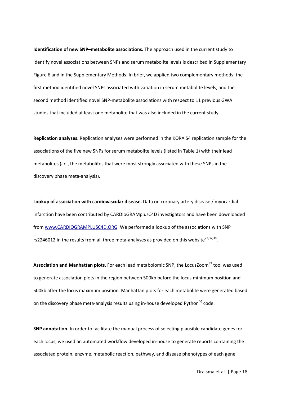**Identification of new SNP–metabolite associations.** The approach used in the current study to identify novel associations between SNPs and serum metabolite levels is described in Supplementary Figure 6 and in the Supplementary Methods. In brief, we applied two complementary methods: the first method identified novel SNPs associated with variation in serum metabolite levels, and the second method identified novel SNP-metabolite associations with respect to 11 previous GWA studies that included at least one metabolite that was also included in the current study.

**Replication analyses.** Replication analyses were performed in the KORA S4 replication sample for the associations of the five new SNPs for serum metabolite levels (listed in Table 1) with their lead metabolites (*i.e.*, the metabolites that were most strongly associated with these SNPs in the discovery phase meta-analysis).

**Lookup of association with cardiovascular disease.** Data on coronary artery disease / myocardial infarction have been contributed by CARDIoGRAMplusC4D investigators and have been downloaded from www.CARDIOGRAMPLUSC4D.ORG. We performed a lookup of the associations with SNP rs2246012 in the results from all three meta-analyses as provided on this website<sup>22,37,38</sup>.

Association and Manhattan plots. For each lead metabolomic SNP, the LocusZoom<sup>39</sup> tool was used to generate association plots in the region between 500kb before the locus minimum position and 500kb after the locus maximum position. Manhattan plots for each metabolite were generated based on the discovery phase meta-analysis results using in-house developed Python $40$  code.

**SNP annotation.** In order to facilitate the manual process of selecting plausible candidate genes for each locus, we used an automated workflow developed in-house to generate reports containing the associated protein, enzyme, metabolic reaction, pathway, and disease phenotypes of each gene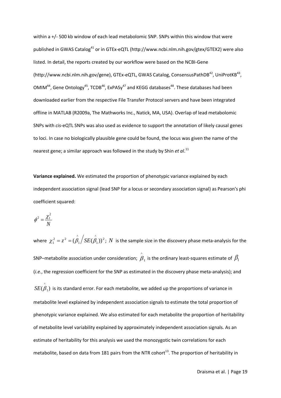within a +/- 500 kb window of each lead metabolomic SNP. SNPs within this window that were published in GWAS Catalog<sup>41</sup> or in GTEx-eQTL (http://www.ncbi.nlm.nih.gov/gtex/GTEX2) were also listed. In detail, the reports created by our workflow were based on the NCBI-Gene (http://www.ncbi.nlm.nih.gov/gene), GTEx-eQTL, GWAS Catalog, ConsensusPathDB<sup>42</sup>, UniProtKB<sup>43</sup>,  $OMIM<sup>44</sup>$ , Gene Ontology<sup>45</sup>, TCDB<sup>46</sup>, ExPASy<sup>47</sup> and KEGG databases<sup>48</sup>. These databases had been downloaded earlier from the respective File Transfer Protocol servers and have been integrated offline in MATLAB (R2009a, The Mathworks Inc., Natick, MA, USA). Overlap of lead metabolomic SNPs with *cis*-eQTL SNPs was also used as evidence to support the annotation of likely causal genes to loci. In case no biologically plausible gene could be found, the locus was given the name of the nearest gene; a similar approach was followed in the study by Shin *et al*. 11

**Variance explained.** We estimated the proportion of phenotypic variance explained by each independent association signal (lead SNP for a locus or secondary association signal) as Pearson's phi coefficient squared:

$$
\phi^2 = \frac{\chi_1^2}{N}
$$

where  $\chi_1^2 = z^2 = (\stackrel{\wedge}{\beta_1} / SE(\stackrel{\wedge}{\beta_1}))^2$ ^ 1  $\chi_1^2 = z^2 = (\beta_1 \mid SE(\beta_1))^2$ ; *N* is the sample size in the discovery phase meta-analysis for the SNP–metabolite association under consideration;  $\,\beta_{_1}\,$  $\hat{\overset{\circ}{\rho}}_{_1}$  is the ordinary least-squares estimate of  $\,\beta_{_1}\,$ (*i.e.*, the regression coefficient for the SNP as estimated in the discovery phase meta-analysis); and  $SE(\overset{\circ}{\beta}_1)$  is its standard error. For each metabolite, we added up the proportions of variance in metabolite level explained by independent association signals to estimate the total proportion of phenotypic variance explained. We also estimated for each metabolite the proportion of heritability of metabolite level variability explained by approximately independent association signals. As an estimate of heritability for this analysis we used the monozygotic twin correlations for each metabolite, based on data from 181 pairs from the NTR cohort<sup>13</sup>. The proportion of heritability in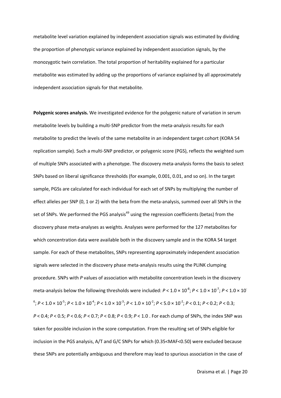metabolite level variation explained by independent association signals was estimated by dividing the proportion of phenotypic variance explained by independent association signals, by the monozygotic twin correlation. The total proportion of heritability explained for a particular metabolite was estimated by adding up the proportions of variance explained by all approximately independent association signals for that metabolite.

**Polygenic scores analysis.** We investigated evidence for the polygenic nature of variation in serum metabolite levels by building a multi-SNP predictor from the meta-analysis results for each metabolite to predict the levels of the same metabolite in an independent target cohort (KORA S4 replication sample). Such a multi-SNP predictor, or polygenic score (PGS), reflects the weighted sum of multiple SNPs associated with a phenotype. The discovery meta-analysis forms the basis to select SNPs based on liberal significance thresholds (for example, 0.001, 0.01, and so on). In the target sample, PGSs are calculated for each individual for each set of SNPs by multiplying the number of effect alleles per SNP (0, 1 or 2) with the beta from the meta-analysis, summed over all SNPs in the set of SNPs. We performed the PGS analysis<sup>49</sup> using the regression coefficients (betas) from the discovery phase meta-analyses as weights. Analyses were performed for the 127 metabolites for which concentration data were available both in the discovery sample and in the KORA S4 target sample. For each of these metabolites, SNPs representing approximately independent association signals were selected in the discovery phase meta-analysis results using the PLINK clumping procedure. SNPs with *P* values of association with metabolite concentration levels in the discovery meta-analysis below the following thresholds were included:  $P < 1.0 \times 10^{-8}$ ;  $P < 1.0 \times 10^{-7}$ ;  $P < 1.0 \times 10^{-7}$  $^{6}$ ; *P* < 1.0 × 10<sup>-5</sup>; *P* < 1.0 × 10<sup>-4</sup>; *P* < 1.0 × 10<sup>-3</sup>; *P* < 1.0 × 10<sup>-2</sup>; *P* < 0.1; *P* < 0.1; *P* < 0.2; *P* < 0.3; *P* < 0.4; *P* < 0.5; *P* < 0.6; *P* < 0.7; *P* < 0.8; *P* < 0.9; *P* < 1.0 . For each clump of SNPs, the index SNP was taken for possible inclusion in the score computation. From the resulting set of SNPs eligible for inclusion in the PGS analysis, A/T and G/C SNPs for which (0.35<MAF<0.50) were excluded because these SNPs are potentially ambiguous and therefore may lead to spurious association in the case of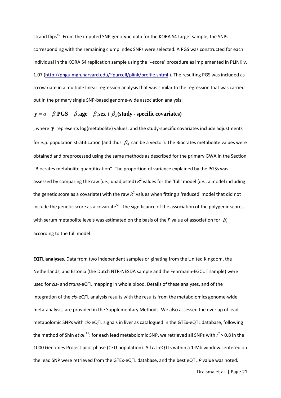strand flips<sup>50</sup>. From the imputed SNP genotype data for the KORA S4 target sample, the SNPs corresponding with the remaining clump index SNPs were selected. A PGS was constructed for each individual in the KORA S4 replication sample using the '--score' procedure as implemented in PLINK v. 1.07 (http://pngu.mgh.harvard.edu/~purcell/plink/profile.shtml). The resulting PGS was included as a covariate in a multiple linear regression analysis that was similar to the regression that was carried out in the primary single SNP-based genome-wide association analysis:

## **y** =  $\alpha + \beta_1$ **PGS** +  $\beta_2$ **age** +  $\beta_3$ **sex** +  $\beta_4$  (**study** - **specific covariates**)

, where **y** represents log(metabolite) values, and the study-specific covariates include adjustments for *e.g.* population stratification (and thus  $\beta_4$  can be a vector). The Biocrates metabolite values were obtained and preprocessed using the same methods as described for the primary GWA in the Section "Biocrates metabolite quantification". The proportion of variance explained by the PGSs was assessed by comparing the raw (*i.e.*, unadjusted)  $R^2$  values for the 'full' model (*i.e.*, a model including the genetic score as a covariate) with the raw  $R^2$  values when fitting a 'reduced' model that did not include the genetic score as a covariate<sup>51</sup>. The significance of the association of the polygenic scores with serum metabolite levels was estimated on the basis of the  $P$  value of association for  $\beta_1$ according to the full model.

**EQTL analyses.** Data from two independent samples originating from the United Kingdom, the Netherlands, and Estonia (the Dutch NTR-NESDA sample and the Fehrmann-EGCUT sample) were used for *cis*- and *trans*-eQTL mapping in whole blood. Details of these analyses, and of the integration of the *cis*-eQTL analysis results with the results from the metabolomics genome-wide meta-analysis, are provided in the Supplementary Methods. We also assessed the overlap of lead metabolomic SNPs with *cis*-eQTL signals in liver as catalogued in the GTEx-eQTL database, following the method of Shin *et al*.<sup>11</sup>: for each lead metabolomic SNP, we retrieved all SNPs with  $r^2$  > 0.8 in the 1000 Genomes Project pilot phase (CEU population). All *cis*-eQTLs within a 1-Mb window centered on the lead SNP were retrieved from the GTEx-eQTL database, and the best eQTL *P* value was noted.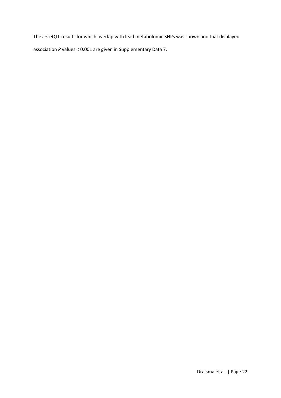The *cis*-eQTL results for which overlap with lead metabolomic SNPs was shown and that displayed association *P* values < 0.001 are given in Supplementary Data 7.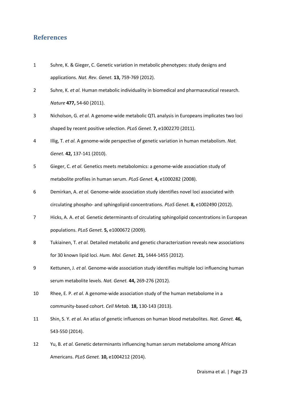## **References**

- 1 Suhre, K. & Gieger, C. Genetic variation in metabolic phenotypes: study designs and applications. *Nat. Rev. Genet.* **13,** 759-769 (2012).
- 2 Suhre, K. *et al.* Human metabolic individuality in biomedical and pharmaceutical research. *Nature* **477,** 54-60 (2011).
- 3 Nicholson, G. *et al.* A genome-wide metabolic QTL analysis in Europeans implicates two loci shaped by recent positive selection. *PLoS Genet.* **7,** e1002270 (2011).
- 4 Illig, T. *et al.* A genome-wide perspective of genetic variation in human metabolism. *Nat. Genet.* **42,** 137-141 (2010).
- 5 Gieger, C. *et al.* Genetics meets metabolomics: a genome-wide association study of metabolite profiles in human serum. *PLoS Genet.* **4,** e1000282 (2008).
- 6 Demirkan, A. *et al.* Genome-wide association study identifies novel loci associated with circulating phospho- and sphingolipid concentrations. *PLoS Genet.* **8,** e1002490 (2012).
- 7 Hicks, A. A. *et al.* Genetic determinants of circulating sphingolipid concentrations in European populations. *PLoS Genet.* **5,** e1000672 (2009).
- 8 Tukiainen, T. *et al.* Detailed metabolic and genetic characterization reveals new associations for 30 known lipid loci. *Hum. Mol. Genet.* **21,** 1444-1455 (2012).
- 9 Kettunen, J. *et al.* Genome-wide association study identifies multiple loci influencing human serum metabolite levels. *Nat. Genet.* **44,** 269-276 (2012).
- 10 Rhee, E. P. *et al.* A genome-wide association study of the human metabolome in a community-based cohort. *Cell Metab.* **18,** 130-143 (2013).
- 11 Shin, S. Y. *et al.* An atlas of genetic influences on human blood metabolites. *Nat. Genet.* **46,** 543-550 (2014).
- 12 Yu, B. *et al.* Genetic determinants influencing human serum metabolome among African Americans. *PLoS Genet.* **10,** e1004212 (2014).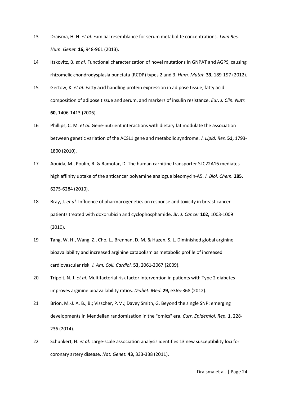- 13 Draisma, H. H. *et al.* Familial resemblance for serum metabolite concentrations. *Twin Res. Hum. Genet.* **16,** 948-961 (2013).
- 14 Itzkovitz, B. *et al.* Functional characterization of novel mutations in GNPAT and AGPS, causing rhizomelic chondrodysplasia punctata (RCDP) types 2 and 3. *Hum. Mutat.* **33,** 189-197 (2012).
- 15 Gertow, K. *et al.* Fatty acid handling protein expression in adipose tissue, fatty acid composition of adipose tissue and serum, and markers of insulin resistance. *Eur. J. Clin. Nutr.* **60,** 1406-1413 (2006).
- 16 Phillips, C. M. *et al.* Gene-nutrient interactions with dietary fat modulate the association between genetic variation of the ACSL1 gene and metabolic syndrome. *J. Lipid. Res.* **51,** 1793- 1800 (2010).
- 17 Aouida, M., Poulin, R. & Ramotar, D. The human carnitine transporter SLC22A16 mediates high affinity uptake of the anticancer polyamine analogue bleomycin-A5. *J. Biol. Chem.* **285,** 6275-6284 (2010).
- 18 Bray, J. *et al.* Influence of pharmacogenetics on response and toxicity in breast cancer patients treated with doxorubicin and cyclophosphamide. *Br. J. Cancer* **102,** 1003-1009 (2010).
- 19 Tang, W. H., Wang, Z., Cho, L., Brennan, D. M. & Hazen, S. L. Diminished global arginine bioavailability and increased arginine catabolism as metabolic profile of increased cardiovascular risk. *J. Am. Coll. Cardiol.* **53,** 2061-2067 (2009).
- 20 Tripolt, N. J. *et al.* Multifactorial risk factor intervention in patients with Type 2 diabetes improves arginine bioavailability ratios. *Diabet. Med.* **29,** e365-368 (2012).
- 21 Brion, M.-J. A. B., B.; Visscher, P.M.; Davey Smith, G. Beyond the single SNP: emerging developments in Mendelian randomization in the "omics" era. *Curr. Epidemiol. Rep.* **1,** 228- 236 (2014).
- 22 Schunkert, H. *et al.* Large-scale association analysis identifies 13 new susceptibility loci for coronary artery disease. *Nat. Genet.* **43,** 333-338 (2011).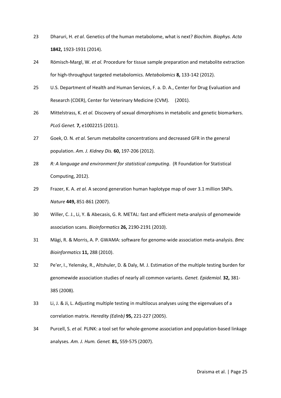- 23 Dharuri, H. *et al.* Genetics of the human metabolome, what is next? *Biochim. Biophys. Acta* **1842,** 1923-1931 (2014).
- 24 Römisch-Margl, W. *et al.* Procedure for tissue sample preparation and metabolite extraction for high-throughput targeted metabolomics. *Metabolomics* **8,** 133-142 (2012).
- 25 U.S. Department of Health and Human Services, F. a. D. A., Center for Drug Evaluation and Research (CDER), Center for Veterinary Medicine (CVM). (2001).
- 26 Mittelstrass, K. *et al.* Discovery of sexual dimorphisms in metabolic and genetic biomarkers. *PLoS Genet.* **7,** e1002215 (2011).
- 27 Goek, O. N. *et al.* Serum metabolite concentrations and decreased GFR in the general population. *Am. J. Kidney Dis.* **60,** 197-206 (2012).
- 28 *R: A language and environment for statistical computing*. (R Foundation for Statistical Computing, 2012).
- 29 Frazer, K. A. *et al.* A second generation human haplotype map of over 3.1 million SNPs. *Nature* **449,** 851-861 (2007).
- 30 Willer, C. J., Li, Y. & Abecasis, G. R. METAL: fast and efficient meta-analysis of genomewide association scans. *Bioinformatics* **26,** 2190-2191 (2010).
- 31 Mägi, R. & Morris, A. P. GWAMA: software for genome-wide association meta-analysis. *Bmc Bioinformatics* **11,** 288 (2010).
- 32 Pe'er, I., Yelensky, R., Altshuler, D. & Daly, M. J. Estimation of the multiple testing burden for genomewide association studies of nearly all common variants. *Genet. Epidemiol.* **32,** 381- 385 (2008).
- 33 Li, J. & Ji, L. Adjusting multiple testing in multilocus analyses using the eigenvalues of a correlation matrix. *Heredity (Edinb)* **95,** 221-227 (2005).
- 34 Purcell, S. *et al.* PLINK: a tool set for whole-genome association and population-based linkage analyses. *Am. J. Hum. Genet.* **81,** 559-575 (2007).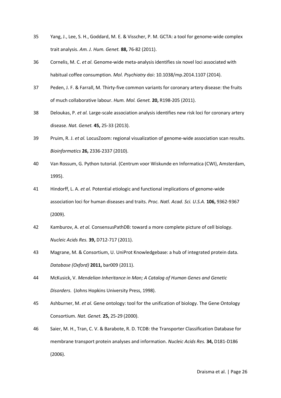- 35 Yang, J., Lee, S. H., Goddard, M. E. & Visscher, P. M. GCTA: a tool for genome-wide complex trait analysis. *Am. J. Hum. Genet.* **88,** 76-82 (2011).
- 36 Cornelis, M. C. *et al.* Genome-wide meta-analysis identifies six novel loci associated with habitual coffee consumption. *Mol. Psychiatry* doi: 10.1038/mp.2014.1107 (2014).
- 37 Peden, J. F. & Farrall, M. Thirty-five common variants for coronary artery disease: the fruits of much collaborative labour. *Hum. Mol. Genet.* **20,** R198-205 (2011).
- 38 Deloukas, P. *et al.* Large-scale association analysis identifies new risk loci for coronary artery disease. *Nat. Genet.* **45,** 25-33 (2013).
- 39 Pruim, R. J. *et al.* LocusZoom: regional visualization of genome-wide association scan results. *Bioinformatics* **26,** 2336-2337 (2010).
- 40 Van Rossum, G. Python tutorial. (Centrum voor Wiskunde en Informatica (CWI), Amsterdam, 1995).
- 41 Hindorff, L. A. *et al.* Potential etiologic and functional implications of genome-wide association loci for human diseases and traits. *Proc. Natl. Acad. Sci. U.S.A.* **106,** 9362-9367 (2009).
- 42 Kamburov, A. *et al.* ConsensusPathDB: toward a more complete picture of cell biology. *Nucleic Acids Res.* **39,** D712-717 (2011).
- 43 Magrane, M. & Consortium, U. UniProt Knowledgebase: a hub of integrated protein data. *Database (Oxford)* **2011,** bar009 (2011).
- 44 McKusick, V. *Mendelian Inheritance in Man; A Catalog of Human Genes and Genetic Disorders*. (Johns Hopkins University Press, 1998).
- 45 Ashburner, M. *et al.* Gene ontology: tool for the unification of biology. The Gene Ontology Consortium. *Nat. Genet.* **25,** 25-29 (2000).
- 46 Saier, M. H., Tran, C. V. & Barabote, R. D. TCDB: the Transporter Classification Database for membrane transport protein analyses and information. *Nucleic Acids Res.* **34,** D181-D186 (2006).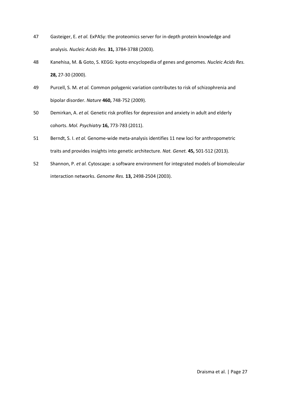- 47 Gasteiger, E. *et al.* ExPASy: the proteomics server for in-depth protein knowledge and analysis. *Nucleic Acids Res.* **31,** 3784-3788 (2003).
- 48 Kanehisa, M. & Goto, S. KEGG: kyoto encyclopedia of genes and genomes. *Nucleic Acids Res.* **28,** 27-30 (2000).
- 49 Purcell, S. M. *et al.* Common polygenic variation contributes to risk of schizophrenia and bipolar disorder. *Nature* **460,** 748-752 (2009).
- 50 Demirkan, A. *et al.* Genetic risk profiles for depression and anxiety in adult and elderly cohorts. *Mol. Psychiatry* **16,** 773-783 (2011).
- 51 Berndt, S. I. *et al.* Genome-wide meta-analysis identifies 11 new loci for anthropometric traits and provides insights into genetic architecture. *Nat. Genet.* **45,** 501-512 (2013).
- 52 Shannon, P. *et al.* Cytoscape: a software environment for integrated models of biomolecular interaction networks. *Genome Res.* **13,** 2498-2504 (2003).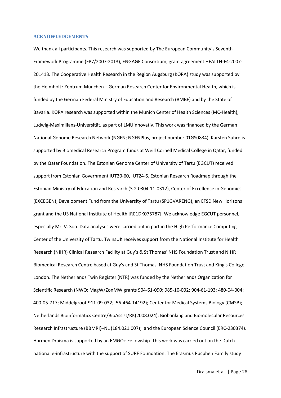#### **ACKNOWLEDGEMENTS**

We thank all participants. This research was supported by The European Community's Seventh Framework Programme (FP7/2007-2013), ENGAGE Consortium, grant agreement HEALTH-F4-2007- 201413. The Cooperative Health Research in the Region Augsburg (KORA) study was supported by the Helmholtz Zentrum München – German Research Center for Environmental Health, which is funded by the German Federal Ministry of Education and Research (BMBF) and by the State of Bavaria. KORA research was supported within the Munich Center of Health Sciences (MC-Health), Ludwig-Maximilians-Universität, as part of LMUinnovativ. This work was financed by the German National Genome Research Network (NGFN; NGFNPlus, project number 01GS0834). Karsten Suhre is supported by Biomedical Research Program funds at Weill Cornell Medical College in Qatar, funded by the Qatar Foundation. The Estonian Genome Center of University of Tartu (EGCUT) received support from Estonian Government IUT20-60, IUT24-6, Estonian Research Roadmap through the Estonian Ministry of Education and Research (3.2.0304.11-0312), Center of Excellence in Genomics (EXCEGEN), Development Fund from the University of Tartu (SP1GVARENG), an EFSD New Horizons grant and the US National Institute of Health [R01DK075787]. We acknowledge EGCUT personnel, especially Mr. V. Soo. Data analyses were carried out in part in the High Performance Computing Center of the University of Tartu. TwinsUK receives support from the National Institute for Health Research (NIHR) Clinical Research Facility at Guy's & St Thomas' NHS Foundation Trust and NIHR Biomedical Research Centre based at Guy's and St Thomas' NHS Foundation Trust and King's College London. The Netherlands Twin Register (NTR) was funded by the Netherlands Organization for Scientific Research (NWO: MagW/ZonMW grants 904-61-090; 985-10-002; 904-61-193; 480-04-004; 400-05-717; Middelgroot-911-09-032; 56-464-14192); Center for Medical Systems Biology (CMSB); Netherlands Bioinformatics Centre/BioAssist/RK(2008.024); Biobanking and Biomolecular Resources Research Infrastructure (BBMRI)–NL (184.021.007); and the European Science Council (ERC-230374). Harmen Draisma is supported by an EMGO+ Fellowship. This work was carried out on the Dutch national e-infrastructure with the support of SURF Foundation. The Erasmus Rucphen Family study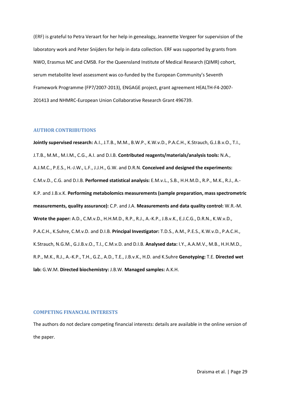(ERF) is grateful to Petra Veraart for her help in genealogy, Jeannette Vergeer for supervision of the laboratory work and Peter Snijders for help in data collection. ERF was supported by grants from NWO, Erasmus MC and CMSB. For the Queensland Institute of Medical Research (QIMR) cohort, serum metabolite level assessment was co-funded by the European Community's Seventh Framework Programme (FP7/2007-2013), ENGAGE project, grant agreement HEALTH-F4-2007- 201413 and NHMRC-European Union Collaborative Research Grant 496739.

#### **AUTHOR CONTRIBUTIONS**

**Jointly supervised research:** A.I., J.T.B., M.M., B.W.P., K.W.v.D., P.A.C.H., K.Strauch, G.J.B.v.O., T.I., J.T.B., M.M., M.I.M., C.G., A.I. and D.I.B. **Contributed reagents/materials/analysis tools:** N.A., A.J.M.C., P.E.S., H.-J.W., L.F., J.J.H., G.W. and D.R.N. **Conceived and designed the experiments:** C.M.v.D., C.G. and D.I.B. **Performed statistical analysis:** E.M.v.L., S.B., H.H.M.D., R.P., M.K., R.J., A.- K.P. and J.B.v.K. **Performing metabolomics measurements (sample preparation, mass spectrometric measurements, quality assurance):** C.P. and J.A. **Measurements and data quality control:** W.R.-M. **Wrote the paper:** A.D., C.M.v.D., H.H.M.D., R.P., R.J., A.-K.P., J.B.v.K., E.J.C.G., D.R.N., K.W.v.D., P.A.C.H., K.Suhre, C.M.v.D. and D.I.B. **Principal Investigator:** T.D.S., A.M., P.E.S., K.W.v.D., P.A.C.H., K.Strauch, N.G.M., G.J.B.v.O., T.I., C.M.v.D. and D.I.B. **Analysed data:** I.Y., A.A.M.V., M.B., H.H.M.D., R.P., M.K., R.J., A.-K.P., T.H., G.Z., A.D., T.E., J.B.v.K., H.D. and K.Suhre **Genotyping:** T.E. **Directed wet lab:** G.W.M. **Directed biochemistry:** J.B.W. **Managed samples:** A.K.H.

#### **COMPETING FINANCIAL INTERESTS**

The authors do not declare competing financial interests: details are available in the online version of the paper.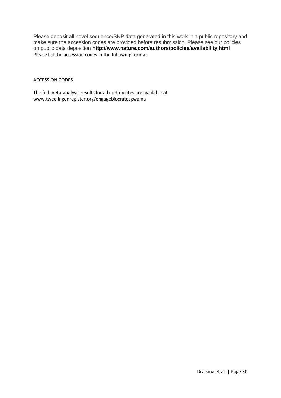Please deposit all novel sequence/SNP data generated in this work in a public repository and make sure the accession codes are provided before resubmission. Please see our policies on public data deposition **http://www.nature.com/authors/policies/availability.html** Please list the accession codes in the following format:

#### ACCESSION CODES

The full meta-analysis results for all metabolites are available at www.tweelingenregister.org/engagebiocratesgwama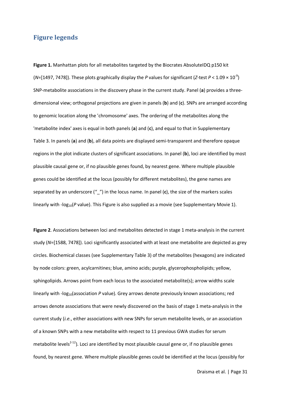## **Figure legends**

**Figure 1.** Manhattan plots for all metabolites targeted by the Biocrates AbsoluteIDQ p150 kit ( $N$ =[1497, 7478]). These plots graphically display the *P* values for significant (*Z*-test  $P < 1.09 \times 10^{-9}$ ) SNP-metabolite associations in the discovery phase in the current study. Panel (**a**) provides a threedimensional view; orthogonal projections are given in panels (**b**) and (**c**). SNPs are arranged according to genomic location along the 'chromosome' axes. The ordering of the metabolites along the 'metabolite index' axes is equal in both panels (**a**) and (**c**), and equal to that in Supplementary Table 3. In panels (**a**) and (**b**), all data points are displayed semi-transparent and therefore opaque regions in the plot indicate clusters of significant associations. In panel (**b**), loci are identified by most plausible causal gene or, if no plausible genes found, by nearest gene. Where multiple plausible genes could be identified at the locus (possibly for different metabolites), the gene names are separated by an underscore ("") in the locus name. In panel (c), the size of the markers scales linearly with -log<sub>10</sub>(P value). This Figure is also supplied as a movie (see Supplementary Movie 1).

Figure 2. Associations between loci and metabolites detected in stage 1 meta-analysis in the current study (*N*=[1588, 7478]). Loci significantly associated with at least one metabolite are depicted as grey circles. Biochemical classes (see Supplementary Table 3) of the metabolites (hexagons) are indicated by node colors: green, acylcarnitines; blue, amino acids; purple, glycerophospholipids; yellow, sphingolipids. Arrows point from each locus to the associated metabolite(s); arrow widths scale linearly with -log<sub>10</sub>(association *P* value). Grey arrows denote previously known associations; red arrows denote associations that were newly discovered on the basis of stage 1 meta-analysis in the current study (*i.e.*, either associations with new SNPs for serum metabolite levels, or an association of a known SNPs with a new metabolite with respect to 11 previous GWA studies for serum metabolite levels<sup>2-12</sup>). Loci are identified by most plausible causal gene or, if no plausible genes found, by nearest gene. Where multiple plausible genes could be identified at the locus (possibly for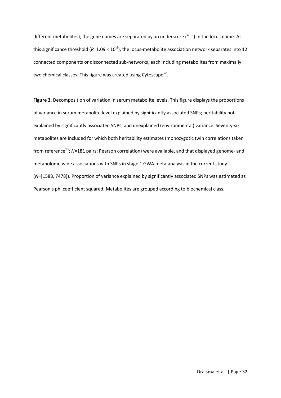different metabolites), the gene names are separated by an underscore ("\_") in the locus name. At this significance threshold ( $P=1.09 \times 10^{-9}$ ), the locus-metabolite association network separates into 12 connected components or disconnected sub-networks, each including metabolites from maximally two chemical classes. This figure was created using Cytoscape<sup>52</sup>.

**Figure 3.** Decomposition of variation in serum metabolite levels. This figure displays the proportions of variance in serum metabolite level explained by significantly associated SNPs; heritability not explained by significantly associated SNPs; and unexplained (environmental) variance. Seventy-six metabolites are included for which both heritability estimates (monozygotic twin correlations taken from reference<sup>13</sup>; N=181 pairs; Pearson correlation) were available, and that displayed genome- and metabolome wide associations with SNPs in stage 1 GWA meta-analysis in the current study (*N*=[1588, 7478]). Proportion of variance explained by significantly associated SNPs was estimated as Pearson's phi coefficient squared. Metabolites are grouped according to biochemical class.